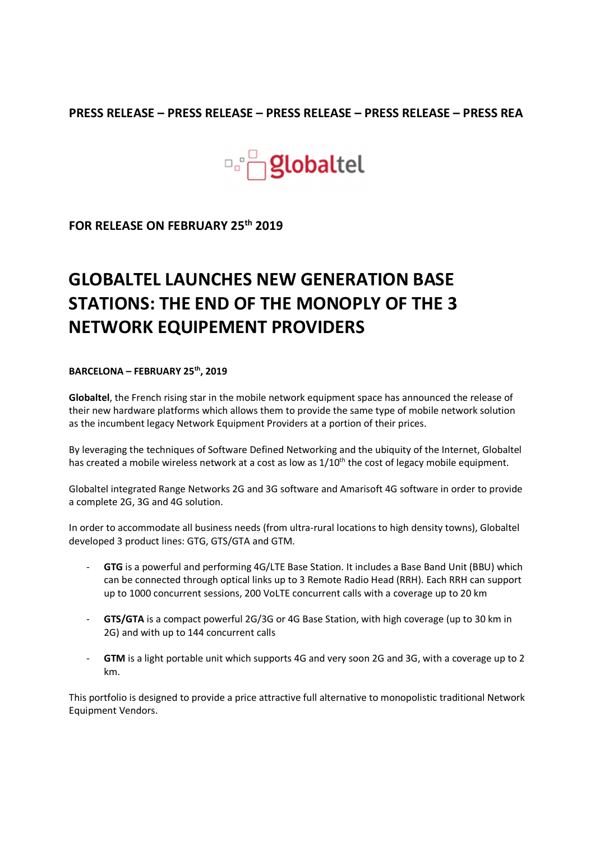## PRESS RELEASE – PRESS RELEASE – PRESS RELEASE – PRESS RELEASE – PRESS REA



FOR RELEASE ON FEBRUARY 25th 2019

## GLOBALTEL LAUNCHES NEW GENERATION BASE STATIONS: THE END OF THE MONOPLY OF THE 3 NETWORK EQUIPEMENT PROVIDERS

## BARCELONA – FEBRUARY 25<sup>th</sup>, 2019

Globaltel, the French rising star in the mobile network equipment space has announced the release of their new hardware platforms which allows them to provide the same type of mobile network solution as the incumbent legacy Network Equipment Providers at a portion of their prices.

By leveraging the techniques of Software Defined Networking and the ubiquity of the Internet, Globaltel has created a mobile wireless network at a cost as low as  $1/10<sup>th</sup>$  the cost of legacy mobile equipment.

Globaltel integrated Range Networks 2G and 3G software and Amarisoft 4G software in order to provide a complete 2G, 3G and 4G solution.

In order to accommodate all business needs (from ultra-rural locations to high density towns), Globaltel developed 3 product lines: GTG, GTS/GTA and GTM.<br>- GTG is a powerful and performing 4G/LTE Base Station. It includes a Base Band Unit (BBU) which

- can be connected through optical links up to 3 Remote Radio Head (RRH). Each RRH can support up to 1000 concurrent sessions, 200 VoLTE concurrent calls with a coverage up to 20 km<br>- GTS/GTA is a compact powerful 2G/3G or 4G Base Station, with high coverage (up to 30 km in
- 
- 2G) and with up to 144 concurrent calls<br>- GTM is a light portable unit which supports 4G and very soon 2G and 3G, with a coverage up to 2 km.

This portfolio is designed to provide a price attractive full alternative to monopolistic traditional Network Equipment Vendors.